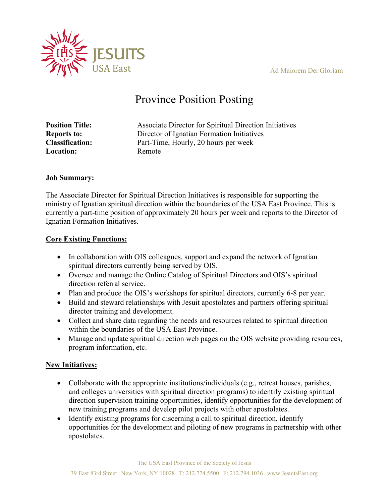Ad Maiorem Dei Gloriam



# Province Position Posting

| Associate Director for Spiritual Direction Initiatives |
|--------------------------------------------------------|
| Director of Ignatian Formation Initiatives             |
| Part-Time, Hourly, 20 hours per week                   |
| Remote                                                 |
|                                                        |

#### **Job Summary:**

The Associate Director for Spiritual Direction Initiatives is responsible for supporting the ministry of Ignatian spiritual direction within the boundaries of the USA East Province. This is currently a part-time position of approximately 20 hours per week and reports to the Director of Ignatian Formation Initiatives.

#### **Core Existing Functions:**

- In collaboration with OIS colleagues, support and expand the network of Ignatian spiritual directors currently being served by OIS.
- Oversee and manage the Online Catalog of Spiritual Directors and OIS's spiritual direction referral service.
- Plan and produce the OIS's workshops for spiritual directors, currently 6-8 per year.
- Build and steward relationships with Jesuit apostolates and partners offering spiritual director training and development.
- Collect and share data regarding the needs and resources related to spiritual direction within the boundaries of the USA East Province.
- Manage and update spiritual direction web pages on the OIS website providing resources, program information, etc.

#### **New Initiatives:**

- Collaborate with the appropriate institutions/individuals (e.g., retreat houses, parishes, and colleges universities with spiritual direction programs) to identify existing spiritual direction supervision training opportunities, identify opportunities for the development of new training programs and develop pilot projects with other apostolates.
- Identify existing programs for discerning a call to spiritual direction, identify opportunities for the development and piloting of new programs in partnership with other apostolates.

The USA East Province of the Society of Jesus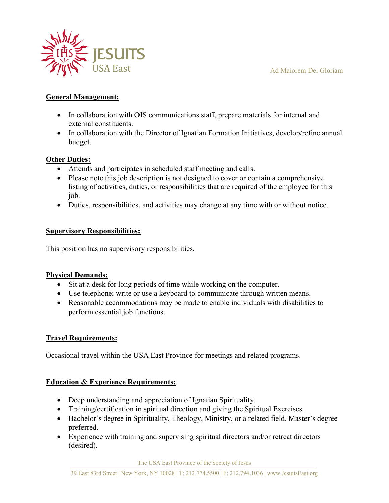#### Ad Maiorem Dei Gloriam



### **General Management:**

- In collaboration with OIS communications staff, prepare materials for internal and external constituents.
- In collaboration with the Director of Ignatian Formation Initiatives, develop/refine annual budget.

#### **Other Duties:**

- Attends and participates in scheduled staff meeting and calls.
- Please note this job description is not designed to cover or contain a comprehensive listing of activities, duties, or responsibilities that are required of the employee for this job.
- Duties, responsibilities, and activities may change at any time with or without notice.

#### **Supervisory Responsibilities:**

This position has no supervisory responsibilities.

#### **Physical Demands:**

- Sit at a desk for long periods of time while working on the computer.
- Use telephone; write or use a keyboard to communicate through written means.
- Reasonable accommodations may be made to enable individuals with disabilities to perform essential job functions.

#### **Travel Requirements:**

Occasional travel within the USA East Province for meetings and related programs.

#### **Education & Experience Requirements:**

- Deep understanding and appreciation of Ignatian Spirituality.
- Training/certification in spiritual direction and giving the Spiritual Exercises.
- Bachelor's degree in Spirituality, Theology, Ministry, or a related field. Master's degree preferred.
- Experience with training and supervising spiritual directors and/or retreat directors (desired).

The USA East Province of the Society of Jesus